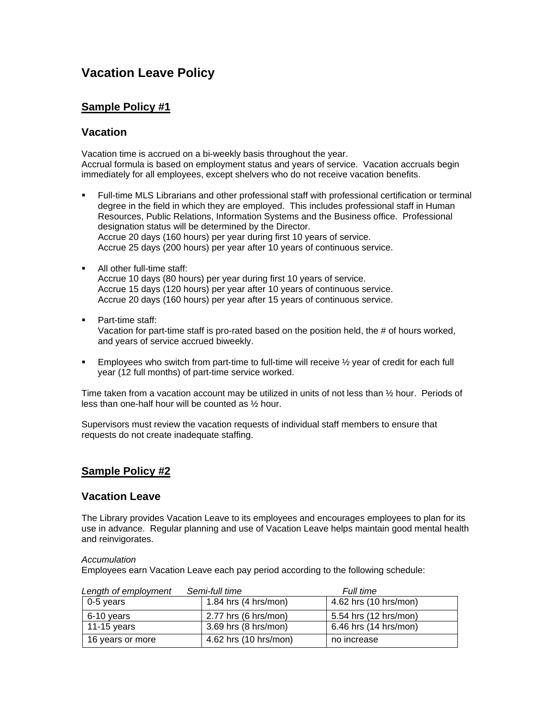# **Vacation Leave Policy**

# **Sample Policy #1**

# **Vacation**

Vacation time is accrued on a bi-weekly basis throughout the year. Accrual formula is based on employment status and years of service. Vacation accruals begin immediately for all employees, except shelvers who do not receive vacation benefits.

- Full-time MLS Librarians and other professional staff with professional certification or terminal degree in the field in which they are employed. This includes professional staff in Human Resources, Public Relations, Information Systems and the Business office. Professional designation status will be determined by the Director. Accrue 20 days (160 hours) per year during first 10 years of service. Accrue 25 days (200 hours) per year after 10 years of continuous service.
- All other full-time staff: Accrue 10 days (80 hours) per year during first 10 years of service. Accrue 15 days (120 hours) per year after 10 years of continuous service. Accrue 20 days (160 hours) per year after 15 years of continuous service.
- **Part-time staff:** Vacation for part-time staff is pro-rated based on the position held, the # of hours worked, and years of service accrued biweekly.
- Employees who switch from part-time to full-time will receive ½ year of credit for each full year (12 full months) of part-time service worked.

Time taken from a vacation account may be utilized in units of not less than ½ hour. Periods of less than one-half hour will be counted as ½ hour.

Supervisors must review the vacation requests of individual staff members to ensure that requests do not create inadequate staffing.

# **Sample Policy #2**

# **Vacation Leave**

The Library provides Vacation Leave to its employees and encourages employees to plan for its use in advance. Regular planning and use of Vacation Leave helps maintain good mental health and reinvigorates.

## *Accumulation*

Employees earn Vacation Leave each pay period according to the following schedule:

| Semi-full time<br>Length of employment |                        | Full time             |
|----------------------------------------|------------------------|-----------------------|
| 0-5 years                              | 1.84 hrs $(4 hrs/mol)$ | 4.62 hrs (10 hrs/mon) |
| 6-10 years                             | 2.77 hrs $(6 hrs/mol)$ | 5.54 hrs (12 hrs/mon) |
| 11-15 years                            | 3.69 hrs (8 hrs/mon)   | 6.46 hrs (14 hrs/mon) |
| 16 years or more                       | 4.62 hrs (10 hrs/mon)  | no increase           |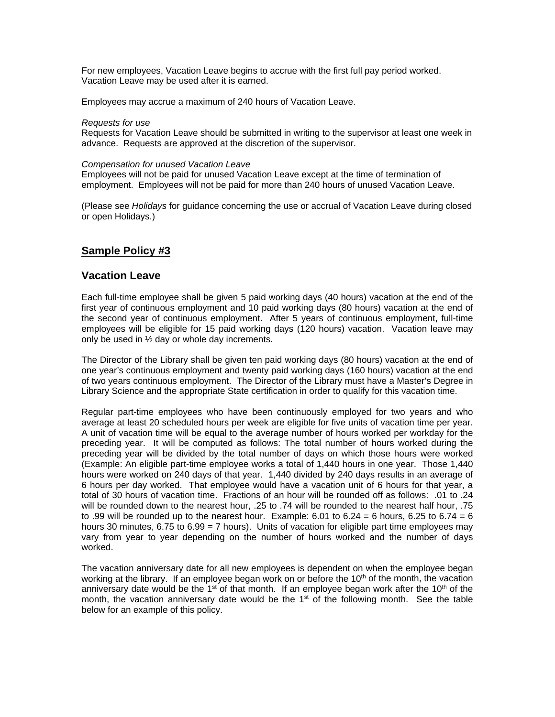For new employees, Vacation Leave begins to accrue with the first full pay period worked. Vacation Leave may be used after it is earned.

Employees may accrue a maximum of 240 hours of Vacation Leave.

#### *Requests for use*

Requests for Vacation Leave should be submitted in writing to the supervisor at least one week in advance. Requests are approved at the discretion of the supervisor.

#### *Compensation for unused Vacation Leave*

Employees will not be paid for unused Vacation Leave except at the time of termination of employment. Employees will not be paid for more than 240 hours of unused Vacation Leave.

(Please see *Holidays* for guidance concerning the use or accrual of Vacation Leave during closed or open Holidays.)

# **Sample Policy #3**

# **Vacation Leave**

Each full-time employee shall be given 5 paid working days (40 hours) vacation at the end of the first year of continuous employment and 10 paid working days (80 hours) vacation at the end of the second year of continuous employment. After 5 years of continuous employment, full-time employees will be eligible for 15 paid working days (120 hours) vacation. Vacation leave may only be used in ½ day or whole day increments.

The Director of the Library shall be given ten paid working days (80 hours) vacation at the end of one year's continuous employment and twenty paid working days (160 hours) vacation at the end of two years continuous employment. The Director of the Library must have a Master's Degree in Library Science and the appropriate State certification in order to qualify for this vacation time.

Regular part-time employees who have been continuously employed for two years and who average at least 20 scheduled hours per week are eligible for five units of vacation time per year. A unit of vacation time will be equal to the average number of hours worked per workday for the preceding year. It will be computed as follows: The total number of hours worked during the preceding year will be divided by the total number of days on which those hours were worked (Example: An eligible part-time employee works a total of 1,440 hours in one year. Those 1,440 hours were worked on 240 days of that year. 1,440 divided by 240 days results in an average of 6 hours per day worked. That employee would have a vacation unit of 6 hours for that year, a total of 30 hours of vacation time. Fractions of an hour will be rounded off as follows: .01 to .24 will be rounded down to the nearest hour, .25 to .74 will be rounded to the nearest half hour, .75 to .99 will be rounded up to the nearest hour. Example: 6.01 to 6.24 = 6 hours, 6.25 to 6.74 = 6 hours 30 minutes, 6.75 to 6.99 = 7 hours). Units of vacation for eligible part time employees may vary from year to year depending on the number of hours worked and the number of days worked.

The vacation anniversary date for all new employees is dependent on when the employee began working at the library. If an employee began work on or before the  $10<sup>th</sup>$  of the month, the vacation anniversary date would be the 1<sup>st</sup> of that month. If an employee began work after the 10<sup>th</sup> of the month, the vacation anniversary date would be the  $1<sup>st</sup>$  of the following month. See the table below for an example of this policy.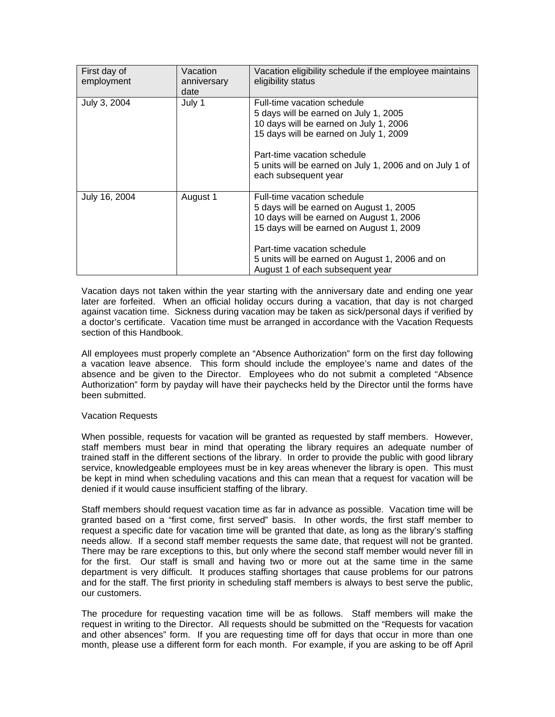| First day of<br>employment | Vacation<br>anniversary<br>date | Vacation eligibility schedule if the employee maintains<br>eligibility status                                                                                                                                                                                                        |
|----------------------------|---------------------------------|--------------------------------------------------------------------------------------------------------------------------------------------------------------------------------------------------------------------------------------------------------------------------------------|
| July 3, 2004               | July 1                          | Full-time vacation schedule<br>5 days will be earned on July 1, 2005<br>10 days will be earned on July 1, 2006<br>15 days will be earned on July 1, 2009<br>Part-time vacation schedule<br>5 units will be earned on July 1, 2006 and on July 1 of<br>each subsequent year           |
| July 16, 2004              | August 1                        | Full-time vacation schedule<br>5 days will be earned on August 1, 2005<br>10 days will be earned on August 1, 2006<br>15 days will be earned on August 1, 2009<br>Part-time vacation schedule<br>5 units will be earned on August 1, 2006 and on<br>August 1 of each subsequent year |

Vacation days not taken within the year starting with the anniversary date and ending one year later are forfeited. When an official holiday occurs during a vacation, that day is not charged against vacation time. Sickness during vacation may be taken as sick/personal days if verified by a doctor's certificate. Vacation time must be arranged in accordance with the Vacation Requests section of this Handbook.

All employees must properly complete an "Absence Authorization" form on the first day following a vacation leave absence. This form should include the employee's name and dates of the absence and be given to the Director. Employees who do not submit a completed "Absence Authorization" form by payday will have their paychecks held by the Director until the forms have been submitted.

## Vacation Requests

When possible, requests for vacation will be granted as requested by staff members. However, staff members must bear in mind that operating the library requires an adequate number of trained staff in the different sections of the library. In order to provide the public with good library service, knowledgeable employees must be in key areas whenever the library is open. This must be kept in mind when scheduling vacations and this can mean that a request for vacation will be denied if it would cause insufficient staffing of the library.

Staff members should request vacation time as far in advance as possible. Vacation time will be granted based on a "first come, first served" basis. In other words, the first staff member to request a specific date for vacation time will be granted that date, as long as the library's staffing needs allow. If a second staff member requests the same date, that request will not be granted. There may be rare exceptions to this, but only where the second staff member would never fill in for the first. Our staff is small and having two or more out at the same time in the same department is very difficult. It produces staffing shortages that cause problems for our patrons and for the staff. The first priority in scheduling staff members is always to best serve the public, our customers.

The procedure for requesting vacation time will be as follows. Staff members will make the request in writing to the Director. All requests should be submitted on the "Requests for vacation and other absences" form. If you are requesting time off for days that occur in more than one month, please use a different form for each month. For example, if you are asking to be off April